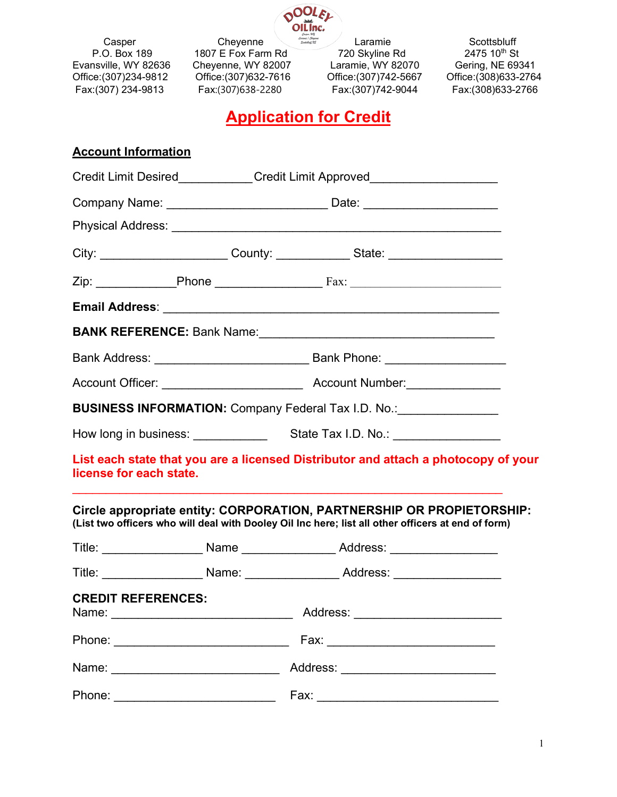

Fax:(307) 234-9813

Casper Cheyenne Laramie Scottsbluff<br>
P.O. Box 189 1807 E Fox Farm Rd 720 Skyline Rd 2475 10<sup>th</sup> St P.O. Box 189 1807 E Fox Farm Rd 720 Skyline Rd 2475 10<sup>th</sup> St<br>Evansville, WY 82636 Cheyenne, WY 82007 Laramie, WY 82070 Gering, NE 69341 Evansville, WY 82636 Cheyenne, WY 82007 Laramie, WY 82070 Gering, NE 69341<br>Office:(307)234-9812 Office:(307)632-7616 Office:(307)742-5667 Office:(308)633-2764 Office:(307)234-9812 Office:(307)632-7616 Office:(307)742-5667 Office:(308)633-2764

# **Application for Credit**

## **Account Information**

| Credit Limit Desired____________Credit Limit Approved___________________________ |                                                                                  |                                                                                                                                                                             |  |  |  |  |  |
|----------------------------------------------------------------------------------|----------------------------------------------------------------------------------|-----------------------------------------------------------------------------------------------------------------------------------------------------------------------------|--|--|--|--|--|
|                                                                                  | Company Name: _________________________________ Date: __________________________ |                                                                                                                                                                             |  |  |  |  |  |
|                                                                                  |                                                                                  |                                                                                                                                                                             |  |  |  |  |  |
|                                                                                  |                                                                                  | City: _________________________County: _______________State: ___________________                                                                                            |  |  |  |  |  |
|                                                                                  |                                                                                  |                                                                                                                                                                             |  |  |  |  |  |
|                                                                                  |                                                                                  |                                                                                                                                                                             |  |  |  |  |  |
|                                                                                  |                                                                                  |                                                                                                                                                                             |  |  |  |  |  |
|                                                                                  |                                                                                  |                                                                                                                                                                             |  |  |  |  |  |
|                                                                                  |                                                                                  |                                                                                                                                                                             |  |  |  |  |  |
|                                                                                  |                                                                                  | BUSINESS INFORMATION: Company Federal Tax I.D. No.: _______________                                                                                                         |  |  |  |  |  |
|                                                                                  |                                                                                  |                                                                                                                                                                             |  |  |  |  |  |
| license for each state.                                                          |                                                                                  | List each state that you are a licensed Distributor and attach a photocopy of your                                                                                          |  |  |  |  |  |
|                                                                                  |                                                                                  | Circle appropriate entity: CORPORATION, PARTNERSHIP OR PROPIETORSHIP:<br>(List two officers who will deal with Dooley Oil Inc here; list all other officers at end of form) |  |  |  |  |  |
|                                                                                  |                                                                                  | Title: _______________________Name _____________________Address: _______________                                                                                            |  |  |  |  |  |
|                                                                                  |                                                                                  | Title: _______________________ Name: ___________________ Address: ______________                                                                                            |  |  |  |  |  |
| <b>CREDIT REFERENCES:</b>                                                        |                                                                                  | _______ Address: ____________                                                                                                                                               |  |  |  |  |  |
|                                                                                  |                                                                                  |                                                                                                                                                                             |  |  |  |  |  |
|                                                                                  |                                                                                  |                                                                                                                                                                             |  |  |  |  |  |
| Phone:                                                                           |                                                                                  |                                                                                                                                                                             |  |  |  |  |  |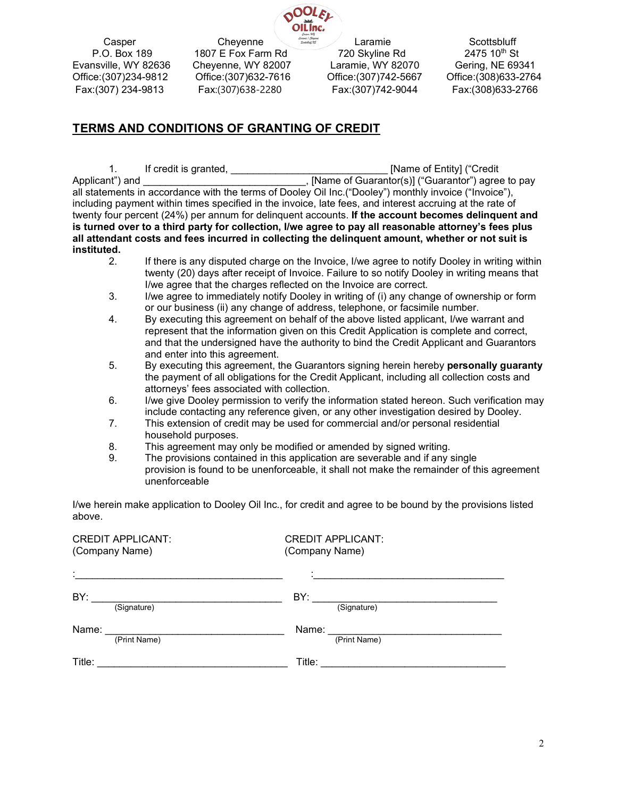

 Casper Cheyenne Laramie Scottsbluff P.O. Box 189 1807 E Fox Farm Rd 720 Skyline Rd 2475 10th St Evansville, WY 82636 Cheyenne, WY 82007 Laramie, WY 82070 Gering, NE 69341<br>Office:(307)234-9812 Office:(307)632-7616 Office:(307)742-5667 Office:(308)633-2764 Office:(307)632-7616 Fax:(307) 234-9813 Fax:(307)638-2280 Fax:(307)742-9044 Fax:(308)633-2766

## **TERMS AND CONDITIONS OF GRANTING OF CREDIT**

1. If credit is granted, the same of Entity] ("Credit" and International International International International International International International International International International International Internati Applicant") and \_\_\_\_\_\_\_\_\_\_\_\_\_\_\_\_\_\_\_\_\_\_\_\_\_\_\_\_\_, [Name of Guarantor(s)] ("Guarantor") agree to pay all statements in accordance with the terms of Dooley Oil Inc.("Dooley") monthly invoice ("Invoice"), including payment within times specified in the invoice, late fees, and interest accruing at the rate of twenty four percent (24%) per annum for delinquent accounts. **If the account becomes delinquent and is turned over to a third party for collection, I/we agree to pay all reasonable attorney's fees plus all attendant costs and fees incurred in collecting the delinquent amount, whether or not suit is instituted.**

- If there is any disputed charge on the Invoice, I/we agree to notify Dooley in writing within twenty (20) days after receipt of Invoice. Failure to so notify Dooley in writing means that I/we agree that the charges reflected on the Invoice are correct.
- 3. I/we agree to immediately notify Dooley in writing of (i) any change of ownership or form or our business (ii) any change of address, telephone, or facsimile number.
- 4. By executing this agreement on behalf of the above listed applicant, I/we warrant and represent that the information given on this Credit Application is complete and correct, and that the undersigned have the authority to bind the Credit Applicant and Guarantors and enter into this agreement.
- 5. By executing this agreement, the Guarantors signing herein hereby **personally guaranty** the payment of all obligations for the Credit Applicant, including all collection costs and attorneys' fees associated with collection.
- 6. I/we give Dooley permission to verify the information stated hereon. Such verification may include contacting any reference given, or any other investigation desired by Dooley.
- 7. This extension of credit may be used for commercial and/or personal residential household purposes.
- 8. This agreement may only be modified or amended by signed writing.
- 9. The provisions contained in this application are severable and if any single provision is found to be unenforceable, it shall not make the remainder of this agreement unenforceable

I/we herein make application to Dooley Oil Inc., for credit and agree to be bound by the provisions listed above.

| <b>CREDIT APPLICANT:</b> | <b>CREDIT APPLICANT:</b> |  |
|--------------------------|--------------------------|--|
| (Company Name)           | (Company Name)           |  |
| t.                       | ۰.                       |  |
| BY:                      | BY:                      |  |
| (Signature)              | (Signature)              |  |
| Name:                    | Name:                    |  |
| (Print Name)             | (Print Name)             |  |
| Title:                   | Title:                   |  |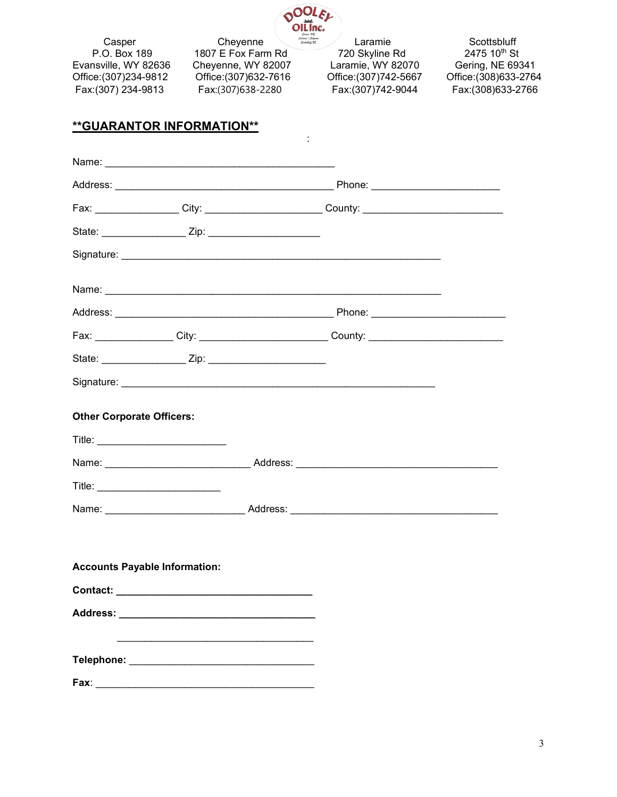

:

 Casper Cheyenne Laramie Scottsbluff P.O. Box 189 1807 E Fox Farm Rd 720 Skyline Rd 2475 10<sup>th</sup> St Evansville, WY 82636 Cheyenne, WY 82007 Laramie, WY 82070 Gering, NE 69341<br>Office:(307)234-9812 Office:(307)632-7616 Office:(307)742-5667 Office:(308)633-2764 Fax:(307) 234-9813

Office:(307)234-9812 Office:(307)632-7616 Office:(307)742-5667 Office:(308)633-2764

#### **\*\*GUARANTOR INFORMATION\*\***

|                                      |  | Fax: __________________City: __________________________County: __________________ |  |
|--------------------------------------|--|-----------------------------------------------------------------------------------|--|
|                                      |  |                                                                                   |  |
|                                      |  |                                                                                   |  |
|                                      |  |                                                                                   |  |
|                                      |  |                                                                                   |  |
|                                      |  | Fax: _________________City: ____________________________County: _________________ |  |
|                                      |  |                                                                                   |  |
|                                      |  |                                                                                   |  |
| <b>Other Corporate Officers:</b>     |  |                                                                                   |  |
|                                      |  |                                                                                   |  |
|                                      |  |                                                                                   |  |
|                                      |  |                                                                                   |  |
|                                      |  |                                                                                   |  |
|                                      |  |                                                                                   |  |
| <b>Accounts Payable Information:</b> |  |                                                                                   |  |
|                                      |  |                                                                                   |  |
|                                      |  |                                                                                   |  |
|                                      |  |                                                                                   |  |
|                                      |  |                                                                                   |  |
|                                      |  |                                                                                   |  |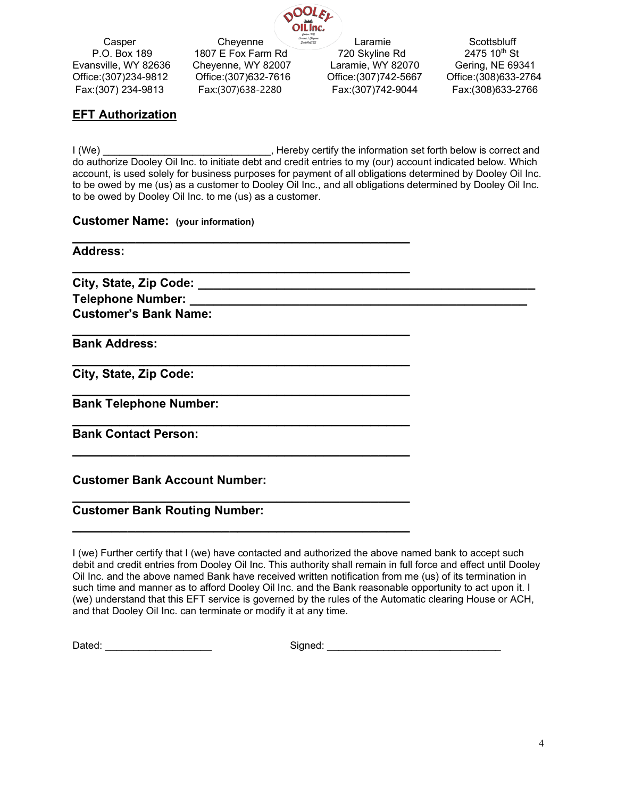

 Casper Cheyenne Laramie Scottsbluff Evansville, WY 82636 Cheyenne, WY 82007 Laramie, WY 82070 Gering, NE 69341<br>Office:(307)234-9812 Office:(307)632-7616 Office:(307)742-5667 Office:(308)633-2764 Fax:(307) 234-9813 Fax:(307)638-2280 Fax:(307)742-9044 Fax:(308)633-2766

P.O. Box 189 1807 E Fox Farm Rd 720 Skyline Rd 2475 10th St Office:(307)632-7616

### **EFT Authorization**

I (We) **I** (We) **I** consider the information set forth below is correct and do authorize Dooley Oil Inc. to initiate debt and credit entries to my (our) account indicated below. Which account, is used solely for business purposes for payment of all obligations determined by Dooley Oil Inc. to be owed by me (us) as a customer to Dooley Oil Inc., and all obligations determined by Dooley Oil Inc. to be owed by Dooley Oil Inc. to me (us) as a customer.

#### **Customer Name: (your information)**

| <b>Address:</b>                       |  |
|---------------------------------------|--|
| City, State, Zip Code: ______________ |  |
|                                       |  |
| <b>Customer's Bank Name:</b>          |  |
| <b>Bank Address:</b>                  |  |
| City, State, Zip Code:                |  |
| <b>Bank Telephone Number:</b>         |  |
| <b>Bank Contact Person:</b>           |  |
| <b>Customer Bank Account Number:</b>  |  |
| <b>Customer Bank Routing Number:</b>  |  |

I (we) Further certify that I (we) have contacted and authorized the above named bank to accept such debit and credit entries from Dooley Oil Inc. This authority shall remain in full force and effect until Dooley Oil Inc. and the above named Bank have received written notification from me (us) of its termination in such time and manner as to afford Dooley Oil Inc. and the Bank reasonable opportunity to act upon it. I (we) understand that this EFT service is governed by the rules of the Automatic clearing House or ACH, and that Dooley Oil Inc. can terminate or modify it at any time.

**\_\_\_\_\_\_\_\_\_\_\_\_\_\_\_\_\_\_\_\_\_\_\_\_\_\_\_\_\_\_\_\_\_\_\_\_\_\_\_\_\_\_\_**

Dated: \_\_\_\_\_\_\_\_\_\_\_\_\_\_\_\_\_\_\_ Signed: \_\_\_\_\_\_\_\_\_\_\_\_\_\_\_\_\_\_\_\_\_\_\_\_\_\_\_\_\_\_\_